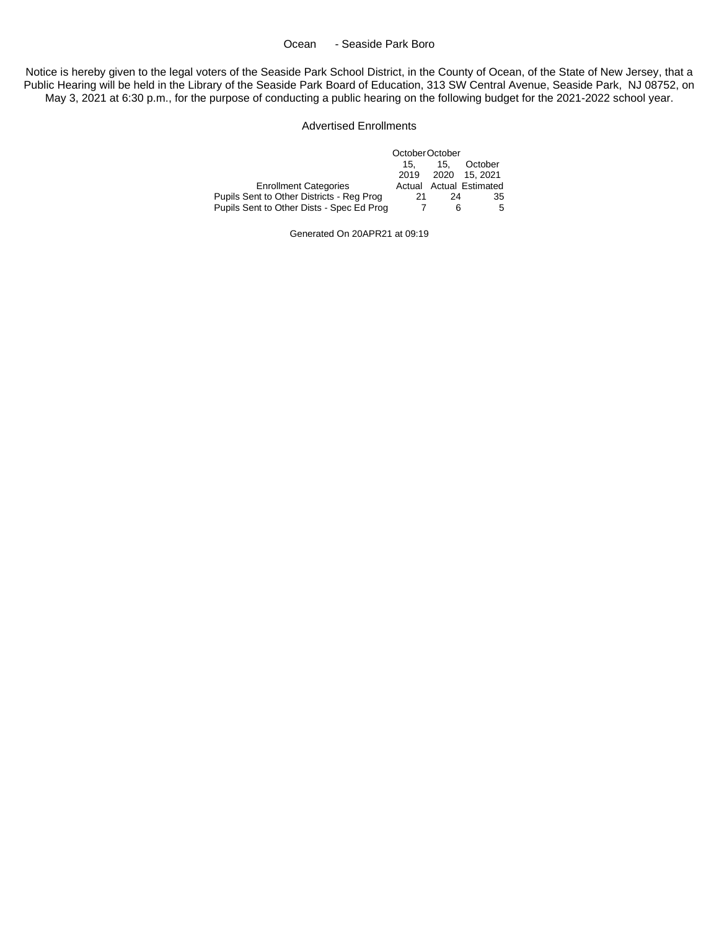#### Ocean - Seaside Park Boro

Notice is hereby given to the legal voters of the Seaside Park School District, in the County of Ocean, of the State of New Jersey, that a Public Hearing will be held in the Library of the Seaside Park Board of Education, 313 SW Central Avenue, Seaside Park, NJ 08752, on May 3, 2021 at 6:30 p.m., for the purpose of conducting a public hearing on the following budget for the 2021-2022 school year.

#### Advertised Enrollments

|                                           | October October |     |                         |  |
|-------------------------------------------|-----------------|-----|-------------------------|--|
|                                           | 15.             | 15. | October                 |  |
|                                           |                 |     | 2019 2020 15.2021       |  |
| <b>Enrollment Categories</b>              |                 |     | Actual Actual Estimated |  |
| Pupils Sent to Other Districts - Reg Prog | 21              | 24  | 35                      |  |
| Pupils Sent to Other Dists - Spec Ed Prog |                 | 6   | 5                       |  |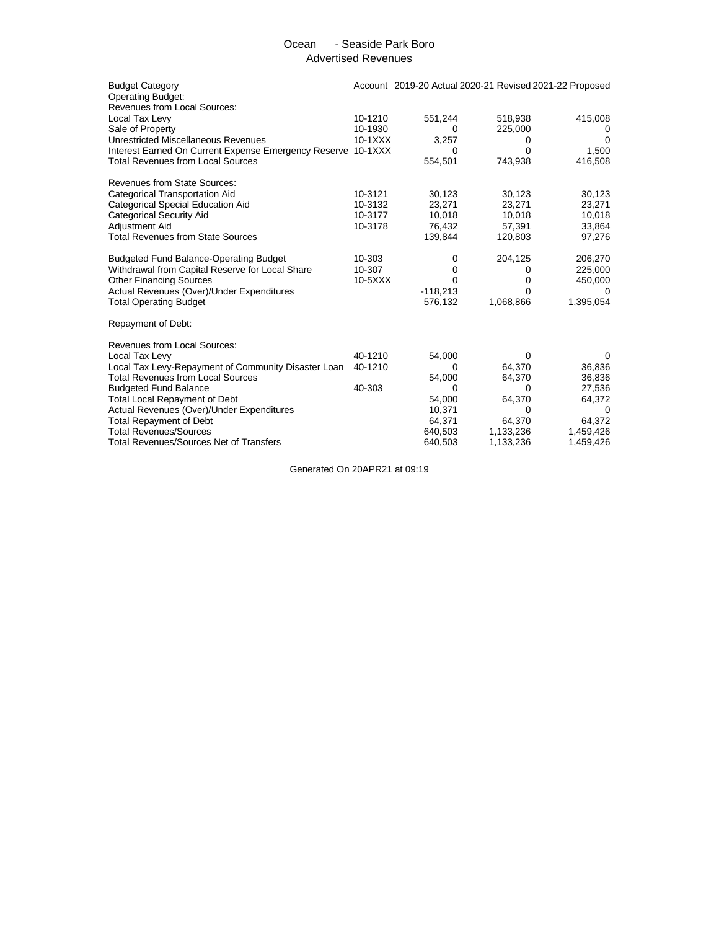## Ocean - Seaside Park Boro Advertised Revenues

| <b>Budget Category</b><br><b>Operating Budget:</b>           |           | Account 2019-20 Actual 2020-21 Revised 2021-22 Proposed |           |           |
|--------------------------------------------------------------|-----------|---------------------------------------------------------|-----------|-----------|
| <b>Revenues from Local Sources:</b>                          |           |                                                         |           |           |
| Local Tax Levy                                               | 10-1210   | 551,244                                                 | 518,938   | 415,008   |
| Sale of Property                                             | 10-1930   | $\Omega$                                                | 225,000   | 0         |
| Unrestricted Miscellaneous Revenues                          | $10-1XXX$ | 3,257                                                   | 0         | 0         |
| Interest Earned On Current Expense Emergency Reserve 10-1XXX |           | $\Omega$                                                | 0         | 1,500     |
| <b>Total Revenues from Local Sources</b>                     |           | 554,501                                                 | 743,938   | 416,508   |
| <b>Revenues from State Sources:</b>                          |           |                                                         |           |           |
| Categorical Transportation Aid                               | 10-3121   | 30,123                                                  | 30,123    | 30,123    |
| Categorical Special Education Aid                            | 10-3132   | 23,271                                                  | 23,271    | 23,271    |
| <b>Categorical Security Aid</b>                              | 10-3177   | 10,018                                                  | 10,018    | 10,018    |
| Adjustment Aid                                               | 10-3178   | 76,432                                                  | 57,391    | 33,864    |
| <b>Total Revenues from State Sources</b>                     |           | 139,844                                                 | 120,803   | 97,276    |
| <b>Budgeted Fund Balance-Operating Budget</b>                | 10-303    | 0                                                       | 204,125   | 206,270   |
| Withdrawal from Capital Reserve for Local Share              | 10-307    | 0                                                       | 0         | 225,000   |
| <b>Other Financing Sources</b>                               | $10-5XXX$ | $\Omega$                                                | 0         | 450,000   |
| Actual Revenues (Over)/Under Expenditures                    |           | $-118,213$                                              | 0         |           |
| <b>Total Operating Budget</b>                                |           | 576,132                                                 | 1,068,866 | 1,395,054 |
| Repayment of Debt:                                           |           |                                                         |           |           |
| <b>Revenues from Local Sources:</b>                          |           |                                                         |           |           |
| Local Tax Levy                                               | 40-1210   | 54,000                                                  | 0         | 0         |
| Local Tax Levy-Repayment of Community Disaster Loan          | 40-1210   | 0                                                       | 64,370    | 36,836    |
| <b>Total Revenues from Local Sources</b>                     |           | 54,000                                                  | 64,370    | 36,836    |
| <b>Budgeted Fund Balance</b>                                 | 40-303    | $\Omega$                                                | 0         | 27,536    |
| <b>Total Local Repayment of Debt</b>                         |           | 54,000                                                  | 64,370    | 64,372    |
| Actual Revenues (Over)/Under Expenditures                    |           | 10,371                                                  | 0         | 0         |
| <b>Total Repayment of Debt</b>                               |           | 64,371                                                  | 64,370    | 64,372    |
| <b>Total Revenues/Sources</b>                                |           | 640,503                                                 | 1,133,236 | 1,459,426 |
| <b>Total Revenues/Sources Net of Transfers</b>               |           | 640,503                                                 | 1,133,236 | 1,459,426 |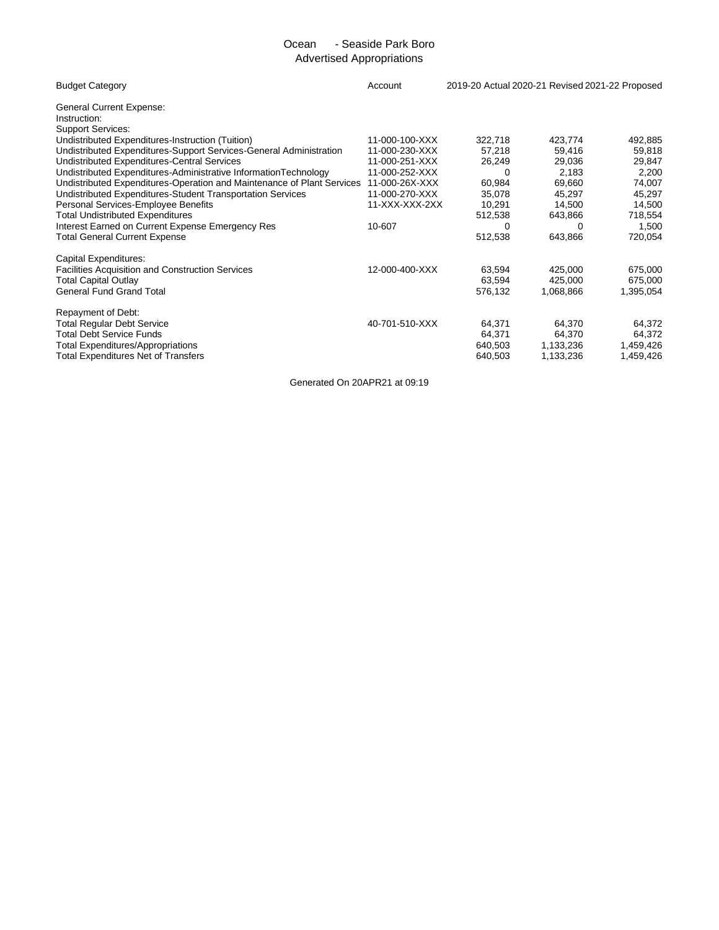# Ocean - Seaside Park Boro Advertised Appropriations

| <b>Budget Category</b>                                                       | Account        | 2019-20 Actual 2020-21 Revised 2021-22 Proposed |           |           |
|------------------------------------------------------------------------------|----------------|-------------------------------------------------|-----------|-----------|
| <b>General Current Expense:</b><br>Instruction:                              |                |                                                 |           |           |
| <b>Support Services:</b><br>Undistributed Expenditures-Instruction (Tuition) | 11-000-100-XXX | 322,718                                         | 423,774   | 492,885   |
| Undistributed Expenditures-Support Services-General Administration           | 11-000-230-XXX | 57,218                                          | 59,416    | 59,818    |
| Undistributed Expenditures-Central Services                                  | 11-000-251-XXX | 26,249                                          | 29,036    | 29,847    |
| Undistributed Expenditures-Administrative InformationTechnology              | 11-000-252-XXX | $\Omega$                                        | 2,183     | 2,200     |
| Undistributed Expenditures-Operation and Maintenance of Plant Services       | 11-000-26X-XXX | 60,984                                          | 69,660    | 74,007    |
| Undistributed Expenditures-Student Transportation Services                   | 11-000-270-XXX | 35,078                                          | 45,297    | 45,297    |
| Personal Services-Employee Benefits                                          | 11-XXX-XXX-2XX | 10.291                                          | 14,500    | 14,500    |
| <b>Total Undistributed Expenditures</b>                                      |                | 512,538                                         | 643,866   | 718,554   |
| Interest Earned on Current Expense Emergency Res                             | 10-607         | $\Omega$                                        | 0         | 1,500     |
| <b>Total General Current Expense</b>                                         |                | 512,538                                         | 643,866   | 720,054   |
| Capital Expenditures:                                                        |                |                                                 |           |           |
| <b>Facilities Acquisition and Construction Services</b>                      | 12-000-400-XXX | 63,594                                          | 425,000   | 675,000   |
| <b>Total Capital Outlay</b>                                                  |                | 63,594                                          | 425,000   | 675,000   |
| <b>General Fund Grand Total</b>                                              |                | 576,132                                         | 1,068,866 | 1,395,054 |
| Repayment of Debt:                                                           |                |                                                 |           |           |
| Total Regular Debt Service                                                   | 40-701-510-XXX | 64,371                                          | 64,370    | 64,372    |
| <b>Total Debt Service Funds</b>                                              |                | 64,371                                          | 64,370    | 64,372    |
| <b>Total Expenditures/Appropriations</b>                                     |                | 640,503                                         | 1,133,236 | 1,459,426 |
| Total Expenditures Net of Transfers                                          |                | 640,503                                         | 1,133,236 | 1,459,426 |
|                                                                              |                |                                                 |           |           |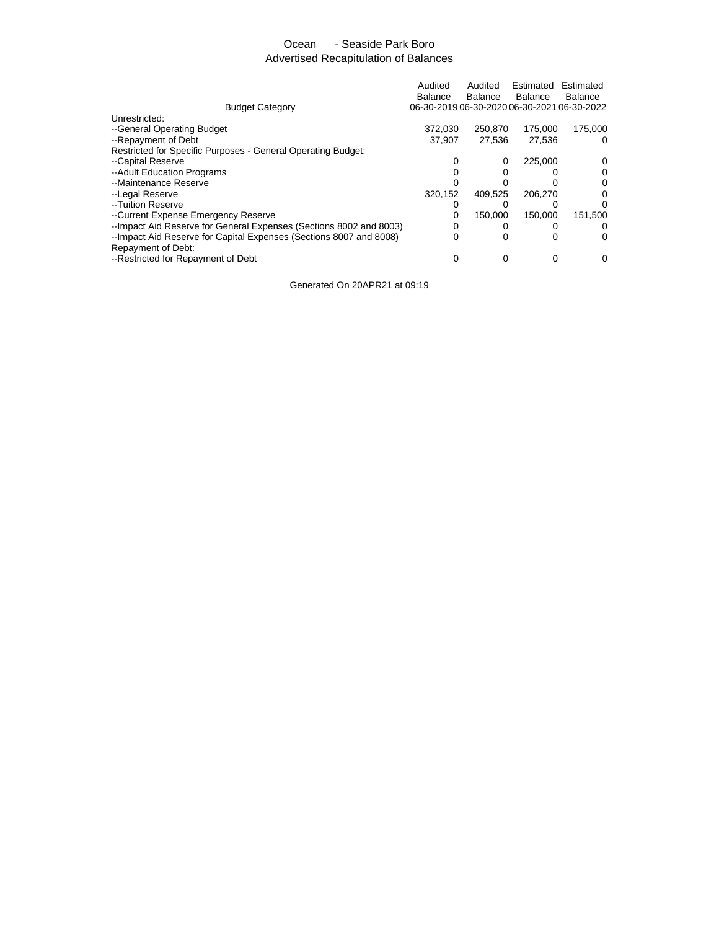# Ocean - Seaside Park Boro Advertised Recapitulation of Balances

|                                                                    | Audited<br>Balance                          | Audited<br>Balance | Estimated<br><b>Balance</b> | Estimated<br>Balance |
|--------------------------------------------------------------------|---------------------------------------------|--------------------|-----------------------------|----------------------|
| <b>Budget Category</b>                                             | 06-30-2019 06-30-2020 06-30-2021 06-30-2022 |                    |                             |                      |
| Unrestricted:                                                      |                                             |                    |                             |                      |
| --General Operating Budget                                         | 372.030                                     | 250,870            | 175,000                     | 175,000              |
| --Repayment of Debt                                                | 37.907                                      | 27,536             | 27,536                      | 0                    |
| Restricted for Specific Purposes - General Operating Budget:       |                                             |                    |                             |                      |
| --Capital Reserve                                                  |                                             | 0                  | 225.000                     |                      |
| --Adult Education Programs                                         |                                             |                    |                             |                      |
| --Maintenance Reserve                                              |                                             |                    |                             |                      |
| --Legal Reserve                                                    | 320,152                                     | 409.525            | 206.270                     |                      |
| --Tuition Reserve                                                  |                                             |                    |                             |                      |
| --Current Expense Emergency Reserve                                |                                             | 150.000            | 150.000                     | 151.500              |
| --Impact Aid Reserve for General Expenses (Sections 8002 and 8003) |                                             |                    |                             | $\Omega$             |
| --Impact Aid Reserve for Capital Expenses (Sections 8007 and 8008) | 0                                           | 0                  |                             | 0                    |
| Repayment of Debt:                                                 |                                             |                    |                             |                      |
| --Restricted for Repayment of Debt                                 |                                             |                    | 0                           | 0                    |